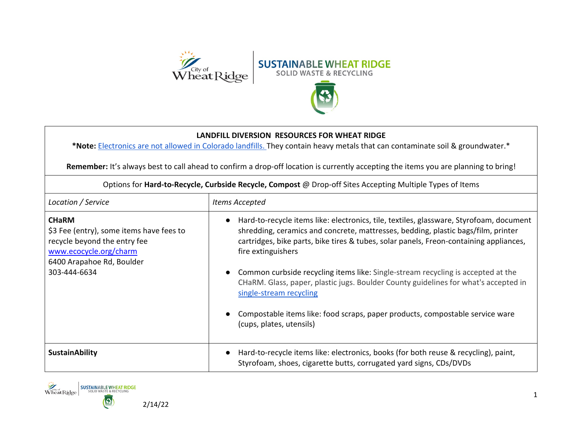

## **LANDFILL DIVERSION RESOURCES FOR WHEAT RIDGE**

**\*Note:** [Electronics are not allowed in Colorado landfills. T](https://cdphe.colorado.gov/ewaste)hey contain heavy metals that can contaminate soil & groundwater.\*

Remember: It's always best to call ahead to confirm a drop-off location is currently accepting the items you are planning to bring!

| Location / Service                                                                                                                                              | Items Accepted                                                                                                                                                                                                                                                                                                                                                                                                                                                                                                                                                                                                    |
|-----------------------------------------------------------------------------------------------------------------------------------------------------------------|-------------------------------------------------------------------------------------------------------------------------------------------------------------------------------------------------------------------------------------------------------------------------------------------------------------------------------------------------------------------------------------------------------------------------------------------------------------------------------------------------------------------------------------------------------------------------------------------------------------------|
| <b>CHaRM</b><br>\$3 Fee (entry), some items have fees to<br>recycle beyond the entry fee<br>www.ecocycle.org/charm<br>6400 Arapahoe Rd, Boulder<br>303-444-6634 | Hard-to-recycle items like: electronics, tile, textiles, glassware, Styrofoam, document<br>shredding, ceramics and concrete, mattresses, bedding, plastic bags/film, printer<br>cartridges, bike parts, bike tires & tubes, solar panels, Freon-containing appliances,<br>fire extinguishers<br>• Common curbside recycling items like: Single-stream recycling is accepted at the<br>CHaRM. Glass, paper, plastic jugs. Boulder County guidelines for what's accepted in<br>single-stream recycling<br>Compostable items like: food scraps, paper products, compostable service ware<br>(cups, plates, utensils) |
| <b>SustainAbility</b>                                                                                                                                           | Hard-to-recycle items like: electronics, books (for both reuse & recycling), paint,<br>Styrofoam, shoes, cigarette butts, corrugated yard signs, CDs/DVDs                                                                                                                                                                                                                                                                                                                                                                                                                                                         |

Options for **Hard-to-Recycle, Curbside Recycle, Compost** @ Drop-off Sites Accepting Multiple Types of Items

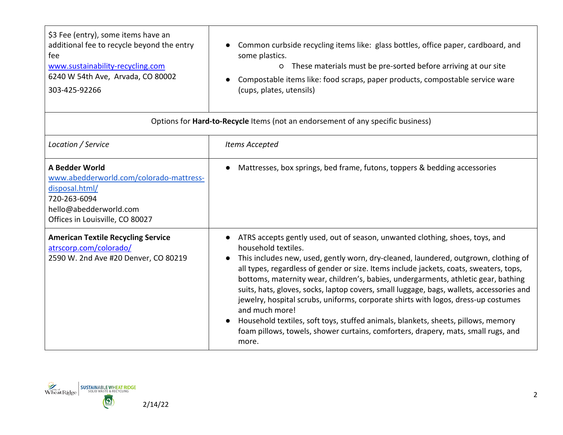| \$3 Fee (entry), some items have an<br>additional fee to recycle beyond the entry<br>Common curbside recycling items like: glass bottles, office paper, cardboard, and<br>some plastics.<br>fee<br>www.sustainability-recycling.com<br>These materials must be pre-sorted before arriving at our site<br>$\circ$<br>6240 W 54th Ave, Arvada, CO 80002<br>Compostable items like: food scraps, paper products, compostable service ware<br>303-425-92266<br>(cups, plates, utensils) |  |
|-------------------------------------------------------------------------------------------------------------------------------------------------------------------------------------------------------------------------------------------------------------------------------------------------------------------------------------------------------------------------------------------------------------------------------------------------------------------------------------|--|
|-------------------------------------------------------------------------------------------------------------------------------------------------------------------------------------------------------------------------------------------------------------------------------------------------------------------------------------------------------------------------------------------------------------------------------------------------------------------------------------|--|

| Options for Hard-to-Recycle Items (not an endorsement of any specific business)                                                                          |                                                                                                                                                                                                                                                                                                                                                                                                                                                                                                                                                                                                                                                                                                                                                                   |
|----------------------------------------------------------------------------------------------------------------------------------------------------------|-------------------------------------------------------------------------------------------------------------------------------------------------------------------------------------------------------------------------------------------------------------------------------------------------------------------------------------------------------------------------------------------------------------------------------------------------------------------------------------------------------------------------------------------------------------------------------------------------------------------------------------------------------------------------------------------------------------------------------------------------------------------|
| Location / Service                                                                                                                                       | Items Accepted                                                                                                                                                                                                                                                                                                                                                                                                                                                                                                                                                                                                                                                                                                                                                    |
| A Bedder World<br>www.abedderworld.com/colorado-mattress-<br>disposal.html/<br>720-263-6094<br>hello@abedderworld.com<br>Offices in Louisville, CO 80027 | Mattresses, box springs, bed frame, futons, toppers & bedding accessories                                                                                                                                                                                                                                                                                                                                                                                                                                                                                                                                                                                                                                                                                         |
| <b>American Textile Recycling Service</b><br>atrscorp.com/colorado/<br>2590 W. 2nd Ave #20 Denver, CO 80219                                              | ATRS accepts gently used, out of season, unwanted clothing, shoes, toys, and<br>household textiles.<br>This includes new, used, gently worn, dry-cleaned, laundered, outgrown, clothing of<br>all types, regardless of gender or size. Items include jackets, coats, sweaters, tops,<br>bottoms, maternity wear, children's, babies, undergarments, athletic gear, bathing<br>suits, hats, gloves, socks, laptop covers, small luggage, bags, wallets, accessories and<br>jewelry, hospital scrubs, uniforms, corporate shirts with logos, dress-up costumes<br>and much more!<br>Household textiles, soft toys, stuffed animals, blankets, sheets, pillows, memory<br>foam pillows, towels, shower curtains, comforters, drapery, mats, small rugs, and<br>more. |

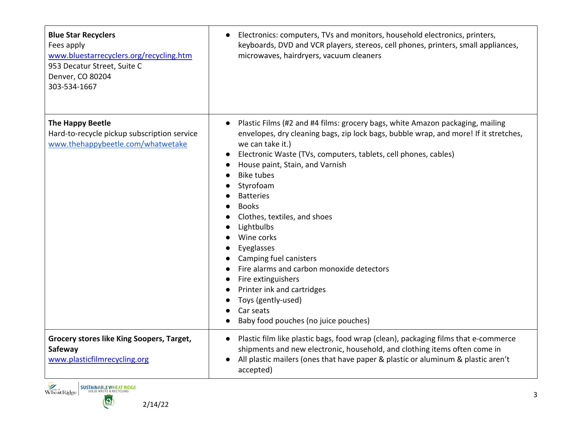| <b>Blue Star Recyclers</b><br>Fees apply<br>www.bluestarrecyclers.org/recycling.htm<br>953 Decatur Street, Suite C<br>Denver, CO 80204<br>303-534-1667 | Electronics: computers, TVs and monitors, household electronics, printers,<br>$\bullet$<br>keyboards, DVD and VCR players, stereos, cell phones, printers, small appliances,<br>microwaves, hairdryers, vacuum cleaners                                                                                                                                                                                                                                                                                                                                                                                                                               |
|--------------------------------------------------------------------------------------------------------------------------------------------------------|-------------------------------------------------------------------------------------------------------------------------------------------------------------------------------------------------------------------------------------------------------------------------------------------------------------------------------------------------------------------------------------------------------------------------------------------------------------------------------------------------------------------------------------------------------------------------------------------------------------------------------------------------------|
| <b>The Happy Beetle</b><br>Hard-to-recycle pickup subscription service<br>www.thehappybeetle.com/whatwetake                                            | Plastic Films (#2 and #4 films: grocery bags, white Amazon packaging, mailing<br>envelopes, dry cleaning bags, zip lock bags, bubble wrap, and more! If it stretches,<br>we can take it.)<br>Electronic Waste (TVs, computers, tablets, cell phones, cables)<br>House paint, Stain, and Varnish<br><b>Bike tubes</b><br>Styrofoam<br><b>Batteries</b><br><b>Books</b><br>Clothes, textiles, and shoes<br>Lightbulbs<br>Wine corks<br>Eyeglasses<br>Camping fuel canisters<br>Fire alarms and carbon monoxide detectors<br>Fire extinguishers<br>Printer ink and cartridges<br>Toys (gently-used)<br>Car seats<br>Baby food pouches (no juice pouches) |
| <b>Grocery stores like King Soopers, Target,</b><br>Safeway<br>www.plasticfilmrecycling.org                                                            | Plastic film like plastic bags, food wrap (clean), packaging films that e-commerce<br>shipments and new electronic, household, and clothing items often come in<br>All plastic mailers (ones that have paper & plastic or aluminum & plastic aren't<br>$\bullet$<br>accepted)                                                                                                                                                                                                                                                                                                                                                                         |

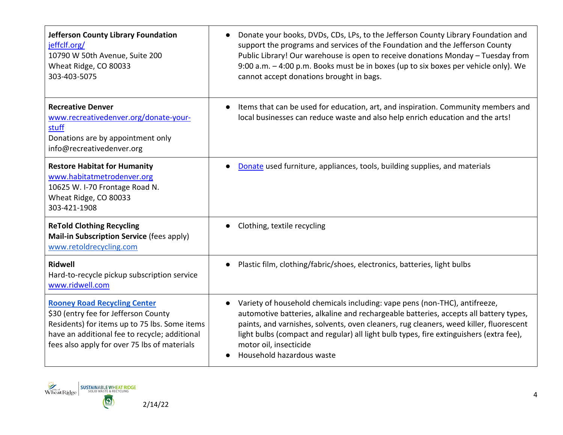| <b>Jefferson County Library Foundation</b><br>jeffclf.org/<br>10790 W 50th Avenue, Suite 200<br>Wheat Ridge, CO 80033<br>303-403-5075                                                                                         | Donate your books, DVDs, CDs, LPs, to the Jefferson County Library Foundation and<br>support the programs and services of the Foundation and the Jefferson County<br>Public Library! Our warehouse is open to receive donations Monday - Tuesday from<br>9:00 a.m. - 4:00 p.m. Books must be in boxes (up to six boxes per vehicle only). We<br>cannot accept donations brought in bags.                        |
|-------------------------------------------------------------------------------------------------------------------------------------------------------------------------------------------------------------------------------|-----------------------------------------------------------------------------------------------------------------------------------------------------------------------------------------------------------------------------------------------------------------------------------------------------------------------------------------------------------------------------------------------------------------|
| <b>Recreative Denver</b><br>www.recreativedenver.org/donate-your-<br>stuff<br>Donations are by appointment only<br>info@recreativedenver.org                                                                                  | Items that can be used for education, art, and inspiration. Community members and<br>local businesses can reduce waste and also help enrich education and the arts!                                                                                                                                                                                                                                             |
| <b>Restore Habitat for Humanity</b><br>www.habitatmetrodenver.org<br>10625 W. I-70 Frontage Road N.<br>Wheat Ridge, CO 80033<br>303-421-1908                                                                                  | Donate used furniture, appliances, tools, building supplies, and materials                                                                                                                                                                                                                                                                                                                                      |
| <b>ReTold Clothing Recycling</b><br>Mail-in Subscription Service (fees apply)<br>www.retoldrecycling.com                                                                                                                      | Clothing, textile recycling                                                                                                                                                                                                                                                                                                                                                                                     |
| <b>Ridwell</b><br>Hard-to-recycle pickup subscription service<br>www.ridwell.com                                                                                                                                              | Plastic film, clothing/fabric/shoes, electronics, batteries, light bulbs                                                                                                                                                                                                                                                                                                                                        |
| <b>Rooney Road Recycling Center</b><br>\$30 (entry fee for Jefferson County<br>Residents) for items up to 75 lbs. Some items<br>have an additional fee to recycle; additional<br>fees also apply for over 75 lbs of materials | Variety of household chemicals including: vape pens (non-THC), antifreeze,<br>automotive batteries, alkaline and rechargeable batteries, accepts all battery types,<br>paints, and varnishes, solvents, oven cleaners, rug cleaners, weed killer, fluorescent<br>light bulbs (compact and regular) all light bulb types, fire extinguishers (extra fee),<br>motor oil, insecticide<br>Household hazardous waste |

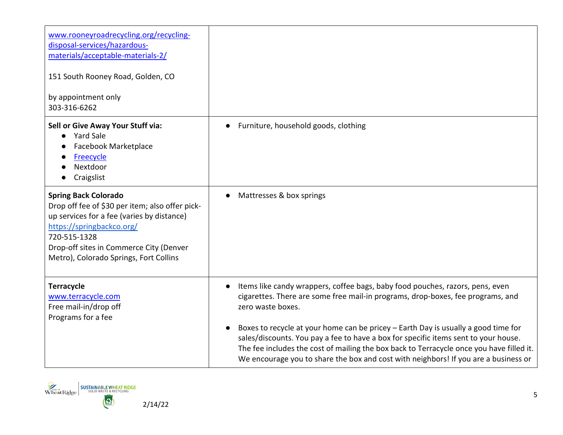| www.rooneyroadrecycling.org/recycling-<br>disposal-services/hazardous-<br>materials/acceptable-materials-2/<br>151 South Rooney Road, Golden, CO<br>by appointment only<br>303-316-6262                                                                        |                                                                                                                                                                                                                                                                                                                                                                                                                                                                                                                                                       |
|----------------------------------------------------------------------------------------------------------------------------------------------------------------------------------------------------------------------------------------------------------------|-------------------------------------------------------------------------------------------------------------------------------------------------------------------------------------------------------------------------------------------------------------------------------------------------------------------------------------------------------------------------------------------------------------------------------------------------------------------------------------------------------------------------------------------------------|
| Sell or Give Away Your Stuff via:<br><b>Yard Sale</b><br>Facebook Marketplace<br>Freecycle<br>Nextdoor<br>Craigslist                                                                                                                                           | Furniture, household goods, clothing                                                                                                                                                                                                                                                                                                                                                                                                                                                                                                                  |
| <b>Spring Back Colorado</b><br>Drop off fee of \$30 per item; also offer pick-<br>up services for a fee (varies by distance)<br>https://springbackco.org/<br>720-515-1328<br>Drop-off sites in Commerce City (Denver<br>Metro), Colorado Springs, Fort Collins | Mattresses & box springs                                                                                                                                                                                                                                                                                                                                                                                                                                                                                                                              |
| <b>Terracycle</b><br>www.terracycle.com<br>Free mail-in/drop off<br>Programs for a fee                                                                                                                                                                         | Items like candy wrappers, coffee bags, baby food pouches, razors, pens, even<br>cigarettes. There are some free mail-in programs, drop-boxes, fee programs, and<br>zero waste boxes.<br>Boxes to recycle at your home can be pricey - Earth Day is usually a good time for<br>sales/discounts. You pay a fee to have a box for specific items sent to your house.<br>The fee includes the cost of mailing the box back to Terracycle once you have filled it.<br>We encourage you to share the box and cost with neighbors! If you are a business or |

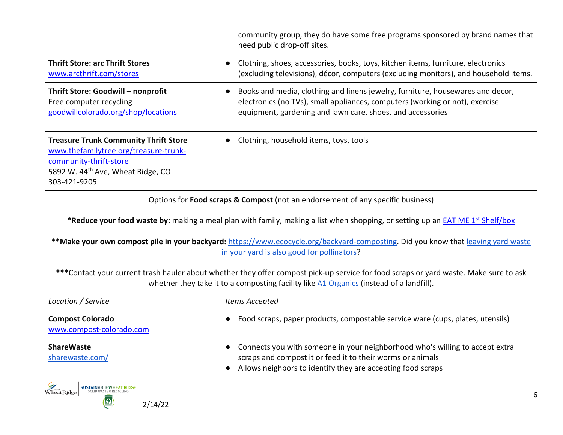|                                                                                                                                                                                  | community group, they do have some free programs sponsored by brand names that<br>need public drop-off sites.                                                                                                                    |
|----------------------------------------------------------------------------------------------------------------------------------------------------------------------------------|----------------------------------------------------------------------------------------------------------------------------------------------------------------------------------------------------------------------------------|
| <b>Thrift Store: arc Thrift Stores</b><br>www.arcthrift.com/stores                                                                                                               | Clothing, shoes, accessories, books, toys, kitchen items, furniture, electronics<br>$\bullet$<br>(excluding televisions), décor, computers (excluding monitors), and household items.                                            |
| Thrift Store: Goodwill - nonprofit<br>Free computer recycling<br>goodwillcolorado.org/shop/locations                                                                             | Books and media, clothing and linens jewelry, furniture, housewares and decor,<br>electronics (no TVs), small appliances, computers (working or not), exercise<br>equipment, gardening and lawn care, shoes, and accessories     |
| <b>Treasure Trunk Community Thrift Store</b><br>www.thefamilytree.org/treasure-trunk-<br>community-thrift-store<br>5892 W. 44 <sup>th</sup> Ave, Wheat Ridge, CO<br>303-421-9205 | Clothing, household items, toys, tools                                                                                                                                                                                           |
|                                                                                                                                                                                  | Options for Food scraps & Compost (not an endorsement of any specific business)                                                                                                                                                  |
|                                                                                                                                                                                  | *Reduce your food waste by: making a meal plan with family, making a list when shopping, or setting up an <b>EAT ME 1st Shelf/box</b>                                                                                            |
|                                                                                                                                                                                  | **Make your own compost pile in your backyard: https://www.ecocycle.org/backyard-composting. Did you know that leaving yard waste<br>in your yard is also good for pollinators?                                                  |
|                                                                                                                                                                                  | ***Contact your current trash hauler about whether they offer compost pick-up service for food scraps or yard waste. Make sure to ask<br>whether they take it to a composting facility like A1 Organics (instead of a landfill). |
| Location / Service                                                                                                                                                               | Items Accepted                                                                                                                                                                                                                   |
| <b>Compost Colorado</b><br>www.compost-colorado.com                                                                                                                              | Food scraps, paper products, compostable service ware (cups, plates, utensils)                                                                                                                                                   |
| <b>ShareWaste</b><br>sharewaste.com/                                                                                                                                             | Connects you with someone in your neighborhood who's willing to accept extra<br>scraps and compost it or feed it to their worms or animals<br>Allows neighbors to identify they are accepting food scraps                        |
| <b>SUSTAINABLE WHEAT RIDGE</b><br>Wheat Ridge<br><b>DUD WASTE &amp; RECYCLING</b><br>$\bullet$<br>2/14/22                                                                        |                                                                                                                                                                                                                                  |

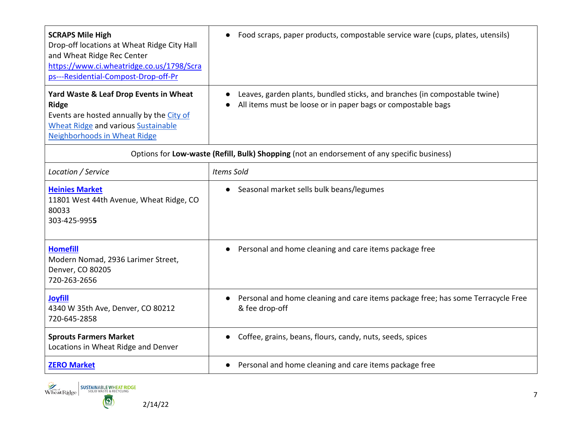| <b>SCRAPS Mile High</b><br>Drop-off locations at Wheat Ridge City Hall<br>and Wheat Ridge Rec Center<br>https://www.ci.wheatridge.co.us/1798/Scra<br>ps---Residential-Compost-Drop-off-Pr | Food scraps, paper products, compostable service ware (cups, plates, utensils)                                                             |
|-------------------------------------------------------------------------------------------------------------------------------------------------------------------------------------------|--------------------------------------------------------------------------------------------------------------------------------------------|
| Yard Waste & Leaf Drop Events in Wheat<br><b>Ridge</b><br>Events are hosted annually by the City of<br><b>Wheat Ridge and various Sustainable</b><br>Neighborhoods in Wheat Ridge         | Leaves, garden plants, bundled sticks, and branches (in compostable twine)<br>All items must be loose or in paper bags or compostable bags |
| Options for Low-waste (Refill, Bulk) Shopping (not an endorsement of any specific business)                                                                                               |                                                                                                                                            |
| Location / Service                                                                                                                                                                        | <b>Items Sold</b>                                                                                                                          |
| <b>Heinies Market</b><br>11801 West 44th Avenue, Wheat Ridge, CO<br>80033<br>303-425-9955                                                                                                 | Seasonal market sells bulk beans/legumes                                                                                                   |
| <b>Homefill</b><br>Modern Nomad, 2936 Larimer Street,<br>Denver, CO 80205<br>720-263-2656                                                                                                 | Personal and home cleaning and care items package free                                                                                     |
| <b>Joyfill</b><br>4340 W 35th Ave, Denver, CO 80212<br>720-645-2858                                                                                                                       | Personal and home cleaning and care items package free; has some Terracycle Free<br>& fee drop-off                                         |
| <b>Sprouts Farmers Market</b><br>Locations in Wheat Ridge and Denver                                                                                                                      | Coffee, grains, beans, flours, candy, nuts, seeds, spices<br>$\bullet$                                                                     |
| <b>ZERO Market</b>                                                                                                                                                                        | Personal and home cleaning and care items package free<br>$\bullet$                                                                        |